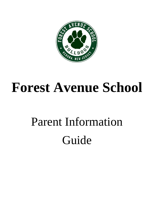

## **Forest Avenue School**

# Parent Information Guide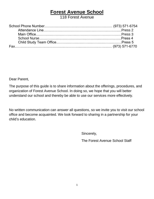## **Forest Avenue School**

118 Forest Avenue

Dear Parent,

The purpose of this guide is to share information about the offerings, procedures, and organization of Forest Avenue School. In doing so, we hope that you will better understand our school and thereby be able to use our services more effectively.

No written communication can answer all questions, so we invite you to visit our school office and become acquainted. We look forward to sharing in a partnership for your child's education.

Sincerely,

The Forest Avenue School Staff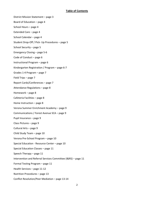#### **Table of Contents**

District Mission Statement – page 3 Board of Education – page 4 School Hours – page 4 Extended Care – page 4 School Calendar – page 4 Student Drop-Off / Pick- Up Procedures – page 5 School Security – page 5 Emergency Closing – page 5-6 Code of Conduct – page 6 Instructional Program – page 6 Kindergarten Registration / Program – page 6-7 Grades 1-4 Program – page 7 Field Trips – page 7 Report Cards/Conferences – page 7 Attendance Regulations – page 8 Homework – page 8 Cafeteria Facilities – page 8 Home Instruction – page 8 Verona Summer Enrichment Academy – page 9 Communications / Forest Avenue SCA – page 9 Pupil Insurance – page 9 Class Pictures – page 9 Cultural Arts – page 9 Child Study Team – page 10 Verona Pre-School Program – page 10 Special Education - Resource Center – page 10 Special Education Classes – page 11 Speech Therapy – page 11 Intervention and Referral Services Committee (I&RS) – page 11 Formal Testing Program – page 11 Health Services – page 11-12 Nutrition Procedures – page 13 Conflict Resolution/Peer Mediation – page 13-14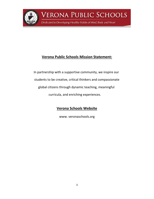

**VERONA PUBLIC SCHOOLS** 

Dedicated to Developing Healthy Habits of Mind, Body and Heart

## **Verona Public Schools Mission Statement:**

 In partnership with a supportive community, we inspire our students to be creative, critical thinkers and compassionate global citizens through dynamic teaching, meaningful curricula, and enriching experiences.

### **Verona Schools Website**

www. veronaschools.org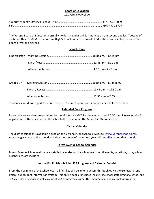#### **Board of Education**

#### 121 Fairview Avenue

The Verona Board of Education normally holds its regular public meetings on the second and last Tuesday of each month at 8:00PM in the Verona High School library. The Board of Education is an elected, five-member board of Verona citizens.

#### **School Hours**

Students should **not** report to school before 8:15 am. Supervision is not provided before this time.

#### **Extended Care Program**

Extended care services are provided by the Montclair YMCA for the students until 6:00 p.m. Please inquire for registration of these services in the school office or contact the Montclair YMCA directly.

#### **District Calendar**

The district calendar is available online on the Verona Public Schools' website ([www.veronaschools.org\)](http://www.veronaschools.org/). Any changes made to the calendar during the course of the school year will be reflected on that calendar.

#### **Forest Avenue School Calendar**

Forest Avenue School maintains a detailed calendar on the school website. All events, vacations, trips, school lunches etc. are included.

#### **Verona Public Schools Joint SCA Program and Calendar Booklet**

From the beginning of the school year, all families will be able to access this booklet via the Genesis Parent Portal, our student information system. This online booklet includes the district/school staff directory, school and SCA calendar of events as well as a list of SCA committees, committee membership and contact information.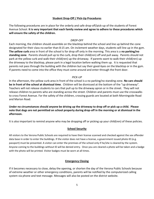#### **Student Drop-Off / Pick-Up Procedures**

The following procedures are in place for the orderly and safe drop-off/pick-up of the students of Forest Avenue School. **It is very important that each family review and agree to adhere to these procedures which will ensure the safety of the children.**

#### *DROP-OFF*

Each morning, the children should assemble on the blacktop behind the school and line up behind the cone designated for their class no earlier than 8:15 am. On inclement weather days, students will line up in the gym. **The yellow curb** area in front of the school is for drop off only in the morning. This area is a **no parking/no standing zone**. Parents should pull up to the curb, drop their child(ren) off and pull away. Parents should not park at the yellow curb and walk their child(ren) up the driveway. If parents want to walk their child(ren) up the driveway to the blacktop, please park in a legal location before walking them up. It is requested that parents not pass through the building with the children but say their good-byes on the blacktop or in the gym. If parents need to come into the office they must come around and enter through the front door.

#### *PICK-UP*

In the afternoon, the yellow curb area in front of the school is a no parking/no standing zone. **No cars should be in front of the school at dismissal time**. Children will be dismissed at the bottom of the "up driveway". Teachers will not release students to cars that pull up to the driveway apron or in the street. They will not release children to parents who are standing across the street. Children and parents must use the crosswalks to cross Forest Avenue. For the safety of the children, crossing guards are located at both Morningside Road and Marion Road.

**Under no circumstances should anyone be driving up the driveway to drop off or pick up a child. Please note that dogs are not permitted on school property during drop-off in the morning or at dismissal in the afternoon.** 

It is also important to remind anyone who may be dropping off or picking up your child(ren) of these policies.

#### **School Security**

All visitors to the Verona Public Schools are required to have their license scanned and checked against the sex offender data base in order to enter the buildings. If the visitor does not have a license, a government issued photo ID (e.g. passport) must be presented. A visitor can enter the premises of the school only if he/she is cleared by the system. Anyone coming to the buildings without ID will be denied entry. Once you are cleared a photo will be taken and a badge with the photo will be printed. Visitor badges must be worn at all times.

#### **Emergency Closing**

If it becomes necessary to close, delay the opening, or shorten the day of the Verona Public Schools because of extreme weather or other emergency conditions, parents will be notified by the computerized calling system via phone and text message. Messages will also be posted on the district website.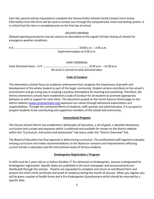Each fall, parents will be requested to complete the Verona Public Schools Family Contact Form online. Information from this form will be used to contact you through the computerized, email and texting system. It is critical that this form is completed prior to the first day of school.

#### *DELAYED OPENING*

Delayed opening procedures may be used as an alternative to the regular full-day closing of schools for emergency weather conditions.

K-4………………………………………………………………………..….……..10:00 a.m. – 2:45 p.m. *Supervision begins at 9:50 a.m.*

#### *EARLY DISMISSAL*

Early Dismissal Hours – K-4 ………………………………………………………….8:30 a.m. – 12:30 p.m. *No lunch is served on early dismissal days.*

#### **Code of Conduct**

The elementary schools focus on academic achievement but recognize the importance of growth and development of the whole student as part of the larger community. Student actions contribute to the school's environment and go a long way in creating a positive atmosphere for learning and socializing. Therefore, the Verona elementary schools have established a Code of Conduct for all students to promote appropriate behavior as well as support for each other. The document posted on the Forest Avenue School page on the district website [\(www.veronaschools.org\)](http://www.veronaschools.org/) expresses our values through behavioral expectations and responsibilities. Through the combined efforts of students, staff, parents and administration, it is our goal to prepare students to be contributing and supportive members of the school and community.

#### **Instructional Program**

The Verona School District has established a philosophy of education, a set of goals, a detailed elementary curriculum and a scope and sequence which is published and available for review on the district website within the "Curriculum, Instruction and Assessment" tab menu under the "District Overview" link.

The Board of Education has final approval in determining curriculum. The professional staff regularly evaluates existing curriculum and makes recommendations to the Board on revisions and improvements reflecting current trends in education and the instructional needs of Verona students.

#### **Kindergarten Registration / Program**

A child must be 5 years old on or before October  $1<sup>st</sup>$  for admission to kindergarten. January is designated for kindergarten registration. Specific dates are published in the local newspaper and announcements are distributed through the schools. Parents are requested to complete and return an enrollment form and present the child's birth certificate and proof of residency during the month of January. When you register you will be given a packet of health forms and a Pre-Kindergarten Questionnaire which should be returned by a specific date.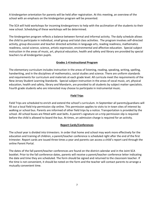A kindergarten orientation for parents will be held after registration. At this meeting, an overview of the school with an emphasis on the kindergarten program will be presented.

The SCA will hold workshops for incoming kindergartners to help with the acclimation of the students to their new school. Scheduling of these workshops will be determined.

The kindergarten program reflects a balance between formal and informal activity. The daily schedule allows the child to participate in individual, small group and total class activities. The program involves self-directed activity, group discussion and teacher directed activities in language arts, reading readiness, mathematics readiness, social science, science, artistic expression, environmental and affective education. Special subject instruction in the areas of music, art, physical education, health and safety and library are provided by special teachers to all kindergarten pupils.

#### **Grades 1-4 Instructional Program**

The elementary curriculum includes instruction in the areas of listening, reading, speaking, writing, spelling, handwriting, and in the disciplines of mathematics, social studies and science. There are uniform standards and requirements for curriculum and materials at each grade level. All curricula meet the requirements of the New Jersey Student Learning Standards. Special subject instruction in the areas of vocal music, art, physical education, health and safety, library and Mandarin, are provided to all students by subject matter specialists. Fourth grade students who are interested may choose to participate in instrumental music.

#### **Field Trips**

Field Trips are scheduled to enrich and extend the school's curriculum. In September all parents/guardians will fill out a local field trip permission slip online. This permission applies to visits to in-town sites of interest by walking or school bus. Parents are informed of other field trips by a notice. Transportation is provided by the school. All school buses are fitted with seat belts. A parent's signature on a trip permission slip is required before the child is allowed to board the bus. At times, an admission charge is required for an activity.

#### **Report Cards/Conferences**

The school year is divided into trimesters. In order that home and school may work more effectively for the education and training of children, a parent/teacher conference is scheduled right after the end of the first trimester. Report cards are issued three times a year and parents can access a child's report card through the online Parent Portal.

The dates of the fall parent/teacher conferences are found on the district calendar and in the Joint SCA booklet. Prior to the fall conference dates, parents will receive a parent/teacher conference letter indicating the date and time they are scheduled. The form should be signed and returned to the classroom teacher. If the time is not convenient, it should be noted on the form and the teacher will contact parents to arrange a mutually convenient time.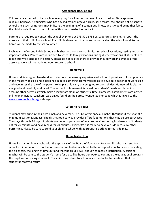#### **Attendance Regulations**

Children are expected to be in school every day for all sessions unless ill or excused for State approved religious holidays. A youngster who has any indications of fever, chills, sore throat, etc. should not be sent to school since such symptoms may indicate the beginning of a contagious illness, and it would be neither fair to the child who is ill nor to the children with whom he/she has contact.

Parents are required to contact the school by phone at 973-571-6754 ext 2 before 8:30 a.m. to report the absence of their child from school. If a child is absent and the parent has not called the school, a call to the home will be made by the school office.

Each year the Verona Public Schools publishes a school calendar indicating school vacations, testing and other important dates. Parents are requested to schedule family vacations during district vacations. If students are taken out while school is in-session, please do not ask teachers to provide missed work in advance of the absence. Work will be made up upon return to school.

#### **Homework**

Homework is assigned to extend and reinforce the learning experience of school. It provides children practice in the mastery of skills and experience in data-gathering. Homework helps to develop independent work skills and recognizes the role of the parent to help a child carry out assigned responsibilities. Homework is clearly assigned and carefully evaluated. The amount of homework is based on students' needs and takes into account other activities which make a legitimate claim on students' time. Homework assignments are posted online on individual teachers' web pages found on the Forest Avenue teacher page which is linked to the [www.veronaschools.org](http://www.veronaschools.org/) webpage.

#### **Cafeteria Facilities**

Students may bring in their own lunch and beverage. The SCA offers special lunches throughout the year at a minimum cost on Mondays. The district food service provider offers food options that may be pre purchased Tuesdays through Fridays. Students are under supervision of lunchroom aides during lunch/recess. Students eat for 20 minutes and have recess for 20 minutes. Every effort is made to have outside recess, weather permitting. Please be sure to send your child to school with appropriate clothing for outside play.

#### **Home Instruction**

Home instruction is available, with the approval of the Board of Education, to any child who is absent from school a minimum of two continuous weeks due to illness subject to the receipt of a doctor's note indicating the diagnosis, the length of time out and that the child is well enough to receive instruction. A certified teacher will be sent to the student's home for up to five hours per week to continue the educational program the pupil was receiving at school. The child may return to school once the doctor has certified that the student is ready to return.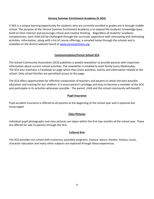#### **Verona Summer Enrichment Academy (V-SEA)**

V-SEA is a unique learning opportunity for students who are currently enrolled in grades pre-k through middle school. The purpose of the Verona Summer Enrichment Academy is to expand the students' knowledge base, build on their interest and encourage critical and creative thinking. Regardless of students' academic competencies, each child will be challenged through the curricular experience with stimulating and motivating activities. Information, along with a list of course offerings, is emailed home through the schools and is available on the district website found at [www.veronaschools.org.](http://www.veronaschools.org/)

#### **Communications/Forest School SCA**

The School Community Association (SCA) publishes a weekly newsletter to provide parents with important information about current school activities. The newsletter is emailed to each family every Wednesday. The SCA also maintains a Facebook on page which they share activities, events and information related to the school. Only school families are permitted access to this page.

The SCA offers opportunities for effective cooperation of teachers and parents to attain the best possible education and training for our children. It is every parent's privilege and duty to become a member of the SCA and participate in its activities whenever possible. The parent, child and the school community will benefit.

#### **Pupil Insurance**

Pupil accident insurance is offered to all parents at the beginning of the school year and is optional but encouraged.

#### **Class Pictures**

Individual pupil photographs and class pictures are taken within the first two months of the school year. These are offered for sale to parents through the SCA.

#### **Cultural Arts**

The SCA provides our school with numerous assembly programs. Science, dance, theater, history, music, character education and many other subjects are explored through these experiences.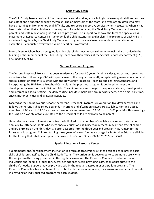#### **Child Study Team**

The Child Study Team consists of four members: a social worker, a psychologist, a learning disabilities teacherconsultant and a speech/language therapist. The primary role of the team is to evaluate children who may have a learning and/or an emotional difficulty and to secure supportive services when necessary. When it has been determined that a child needs the support of special services, the Child Study Team works closely with parents and staff in developing individualized programs. The support could take the form of a special class placement or Resource Center instructor while the child attends a regular class. The progress of each child is monitored regularly by the Child Study Team and programs are reviewed and updated annually. A reevaluation is conducted every three years or earlier if warranted.

Forest Avenue School has an assigned learning disabilities teacher-consultant who maintains an office in the building. Other members of the Child-Study Team have their offices at the Special Services Department (973) 571-2029 ext. 7512.

#### **Verona Preschool Program**

The Verona Preschool Program has been in existence for over 30 years. Originally designed as a nursery school experience for children ages 3-5 with special needs, the program currently accepts both general education and special education students. Aligned with the New Jersey Preschool Teaching and Learning Standards and incorporating the HighScope Preschool Curriculum, the preschool program is designed to meet the developmental needs of the individual child. The children are encouraged to explore materials, develop skills and interact in a social setting. The daily routine includes small/large group experiences, circle time, play time, snack, motor activities and language activities.

Located at the Laning Avenue School, the Verona Preschool Program is in operation five days per week and follows the Verona Public Schools calendar. Morning and afternoon classes are available. Morning classes meet from 9:00 a.m. to 11:30 a.m. and afternoon classes meet from 12:30 p.m. to 3:00 p.m. Monthly meetings focusing on a variety of topics related to the preschool child are available to all parents.

General education enrollment is on a fee basis, limited to the number of available spaces and determined annually by lottery. Students who meet special education eligibility requirements may attend free of charge and are enrolled on their birthday. Children accepted into the three-year-old program may remain for the four-year-old program. Children turning three years of age or four years of age by September 30th are eligible for the lottery that is held each year in February. Pre-School Office - 973-571-202- ext. 7520.

#### **Special Education - Resource Center**

Supplemental and/or replacement instruction is a form of academic assistance designed to reinforce basic skills of children classified by the Child Study Team. The curriculum is developed to coordinate closely with the subject matter being presented in the regular classroom. The Resource Center instructor works with individuals and/or small groups for several periods each week, providing instruction appropriate to the children's needs. Support may be provided within the regular classroom or as a pullout program. The Resource Center teacher maintains close contact with the team members, the classroom teacher and parents in providing an individualized program for each student.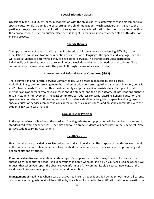#### **Special Education Classes**

Occasionally the Child Study Team, in cooperation with the child's parents, determines that a placement in a special education classroom is the best setting for a child's education. Much consideration is given to the particular program and classroom location. If an appropriate special education classroom is not found within the Verona school district, an outside placement is sought. Parents are involved at each step of this decision making process.

#### **Speech Therapy**

Therapy in the area of speech and language is offered to children who are experiencing difficulty in the articulation of sounds and/or in the reception or expression of language. The speech and language specialist will assess students to determine if they are eligible for services. The therapist provides instruction, individually or in small groups, up to several times a week depending on the needs of the students. Close communication is maintained with the parents through the use of a speech folder.

#### **Intervention and Referral Services Committee (I&RS)**

The Intervention and Referral Services Committee (I&RS) is a state-mandated, building-based, multidisciplinary, problem-solving team that addresses adult concerns regarding a student's learning, behavior and/or health needs. The committee meets monthly and provides direct assistance and support to staff members and/or parents who have concerns about a student, and the final outcome of interventions ought to result in student improvement. The I&RS committee can address concerns regarding general education and special education students. However, services for students identified as eligible for speech and language or special education services can only be considered in specific circumstances and must be coordinated with the student's IEP team case manager.

#### **Formal Testing Program**

In the spring of each school year, the third and fourth grade student population will be involved in a series of standardized testing experiences. The third and fourth grade students will participate in the NJSLA test (New Jersey Student Learning Assessments).

#### **Health Services**

Health services are provided by registered nurses and a school doctor. The purpose of health services is to aid in the early detection of health defects, to refer children for services when necessary and to promote good health habits and attitudes.

**Communicable disease** prevention needs everyone's cooperation. The best way to control a disease from spreading throughout the school is to keep your child home when he/she is ill. If your child is to be absent, we request that when you report the absence, you inform us of any communicable disease. Knowledge of the incidence of disease can help us in detection and prevention.

**Management of head lice**: When a case of active head lice has been identified by the school nurse, all parents of students in that grade level will be notified by the school. Included in the notification will be information on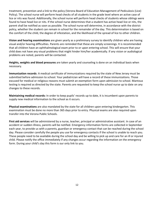treatment, prevention and a link to the policy (Verona Board of Education Management of Pediculosis (Lice) Policy). The school nurse will perform head checks of all students in the grade level where an active case of lice or nits was found. Additionally, the school nurse will perform head checks of students whose siblings were found to have head lice or nits. If the school nurse determines that a student has active head lice or nits, the parent shall be notified as soon as possible. The school nurse will determine, in accordance with the district policy, whether the student can remain in school for the remainder of the day. This determination is based on the comfort of the child, the degree of infestation, and the likelihood of the spread of lice to other children.

**Vision and hearing examinations** are given yearly as a preliminary survey to identify children who are having visual and/or hearing difficulties. Parents are reminded that these are simply screenings. It is recommended that all children have an ophthalmological exam prior to or upon entering school. This will ensure that your child does not have any visual problems that might hinder him/her academically. If any vision or audiological problems are noted, parents will be contacted.

**Heights, weights and blood pressures** are taken yearly and counseling is done on an individual basis when necessary.

**Immunization records**: A medical certificate of immunizations required by the state of New Jersey must be submitted before admission to school. Your pediatrician will have a record of these immunizations. Those excused for medical or religious reasons must submit an exemption form upon admission to school. Mantoux testing is required as directed by the state. Parents are requested to keep the school nurse up to date on any changes to these records.

**Maintaining medical records:** In order to keep pupils' records up to date, it is incumbent upon parents to supply new medical information to the school as it occurs.

**Physical examinations** are also mandated by the state for all children upon entering kindergarten. This examination must be done no more than 365 days prior to entry. Physical exams are also required upon transfer into the Verona Public Schools.

**First aid services** will be administered by a nurse, teacher, principal or administrative assistant. In case of an accident or sudden illness, parents will be notified. Emergency information forms are collected in September each year, to provide us with a parents, guardian or emergency contact that can be reached during the school day. Please consider carefully the people you use for emergency contacts if the school is unable to reach you. These people need to be available during the school day and be willing to pick up and care for an ill or injured child. Please notify the office immediately if any changes occur regarding the information on the emergency form. During your child's day this form is our only link to you.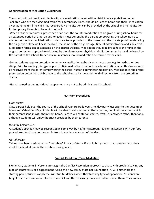#### **Administration of Medication Guidelines:**

The school will not provide students with any medication unless within district policy guidelines below: -Children who are receiving medication for a temporary illness should be kept at home and their medication given at home until the child has recovered. No medication can be provided by the school and no medication for temporary illness is to be sent to school.

-When a student requires a prescribed or an over the counter medication to be given during school hours for an extended period of time, an authorization must be sent by the parent empowering the school nurse to administer medication. Medication orders are to be provided to the nurse from the private physician detailing the diagnosis or type of illness involved, the name of the drug, dosage, time of administration and side effects. Medication forms can be accessed on the district website. Medication should be brought to the nurse in the original container, appropriately labeled by the pharmacy or physician. Medication must be hand delivered by the parent to the school. Under no circumstances should medication be carried by the child.

-Some students require prescribed emergency medication to be given as necessary, e.g. for asthma or bee stings. Prior to sending this type of prescriptive medication to school for administration, an authorization must be received from the parent empowering the school nurse to administer medication. Medication in the proper prescription bottle must be brought to the school nurse by the parent with directions from the prescribing doctor.

-Herbal remedies and nutritional supplements are not to be administered in school.

#### **Nutrition Procedures**

#### *Class Parties*

Class parties held over the course of the school year are Halloween, holiday party just prior to the December break and Valentine's Day. Students will be able to enjoy a treat at these parties, but it will be a treat which their parents send in with them from home. Parties will center on games, crafts, or activities rather than food, although students will enjoy the snack provided by their parents.

#### *Birthday Celebrations*

A student's birthday may be recognized in some way by his/her classroom teacher. In keeping with our food procedures, food may not be sent in from home in celebration of the day.

#### *Nut Allergies*

Tables have been designated as "nut tables" in our cafeteria. If a child brings food that contains nuts, they must be seated at one of these tables during lunch.

#### **Conflict Resolution/Peer Mediation**

Elementary students in Verona are taught the Conflict Resolution approach to assist with problem solving any type of controversy or disagreement. Using the New Jersey State Bar Foundation (NJSBF) materials as a starting point, students apply the Win-Win Guidelines when they face any type of opposition. Students are taught that there are various forms of conflict and the necessary tools needed to resolve them. They are also